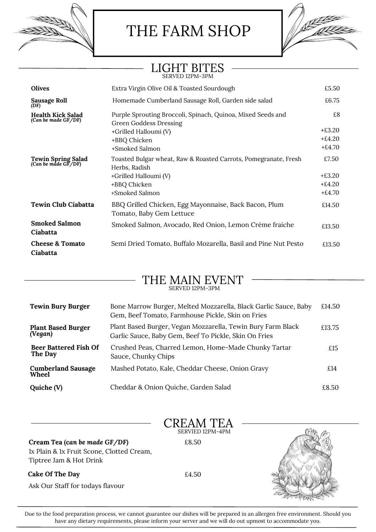THE FARM SHOP

# LIGHT BITES SERVED 12PM-3PM

| <b>Olives</b>                                   | Extra Virgin Olive Oil & Toasted Sourdough                                                                                                       | £5.50                                     |
|-------------------------------------------------|--------------------------------------------------------------------------------------------------------------------------------------------------|-------------------------------------------|
|                                                 |                                                                                                                                                  |                                           |
| Sausage Roll<br>(DF)                            | Homemade Cumberland Sausage Roll, Garden side salad                                                                                              | £6.75                                     |
| <b>Health Kick Salad</b><br>(Can be made GF/DF) | Purple Sprouting Broccoli, Spinach, Quinoa, Mixed Seeds and<br>Green Goddess Dressing<br>+Grilled Halloumi (V)<br>+BBQ Chicken<br>+Smoked Salmon | £8<br>$+£3.20$<br>$+£4.20$<br>$+£4.70$    |
| Tewin Spring Salad<br>(Can be made GF/DF)       | Toasted Bulgar wheat, Raw & Roasted Carrots, Pomegranate, Fresh<br>Herbs, Radish<br>+Grilled Halloumi (V)<br>+BBQ Chicken<br>+Smoked Salmon      | £7.50<br>$+£3.20$<br>$+£4.20$<br>$+£4.70$ |
| <b>Tewin Club Ciabatta</b>                      | BBQ Grilled Chicken, Egg Mayonnaise, Back Bacon, Plum<br>Tomato, Baby Gem Lettuce                                                                | £14.50                                    |
| <b>Smoked Salmon</b><br>Ciabatta                | Smoked Salmon, Avocado, Red Onion, Lemon Crème fraiche                                                                                           | £13.50                                    |
| <b>Cheese &amp; Tomato</b><br>Ciabatta          | Semi Dried Tomato, Buffalo Mozarella, Basil and Pine Nut Pesto                                                                                   | £13.50                                    |

## THE MAIN EVENT SERVED 12PM-3PM

| <b>Tewin Bury Burger</b>                | Bone Marrow Burger, Melted Mozzarella, Black Garlic Sauce, Baby<br>Gem, Beef Tomato, Farmhouse Pickle, Skin on Fries | £14.50 |
|-----------------------------------------|----------------------------------------------------------------------------------------------------------------------|--------|
| <b>Plant Based Burger</b><br>(Vegan)    | Plant Based Burger, Vegan Mozzarella, Tewin Bury Farm Black<br>Garlic Sauce, Baby Gem, Beef To Pickle, Skin On Fries | £13.75 |
| <b>Beer Battered Fish Of</b><br>The Day | Crushed Peas, Charred Lemon, Home-Made Chunky Tartar<br>Sauce, Chunky Chips                                          | £15    |
| <b>Cumberland Sausage</b><br>Wheel      | Mashed Potato, Kale, Cheddar Cheese, Onion Gravy                                                                     | £14    |
| Quiche (V)                              | Cheddar & Onion Quiche, Garden Salad                                                                                 | £8.50  |

|                                                                                                       | CREAM TEA        |  |
|-------------------------------------------------------------------------------------------------------|------------------|--|
|                                                                                                       | SERVIED 12PM-4PM |  |
| Cream Tea (can be made GF/DF)<br>1x Plain & 1x Fruit Scone, Clotted Cream,<br>Tiptree Jam & Hot Drink | £8.50            |  |
| Cake Of The Day<br>Ask Our Staff for todays flavour                                                   | £4.50            |  |

Due to the food preparation process, we cannot guarantee our dishes will be prepared in an allergen free environment. Should you have any dietary requirements, please inform your server and we will do out upmost to accommodate you.